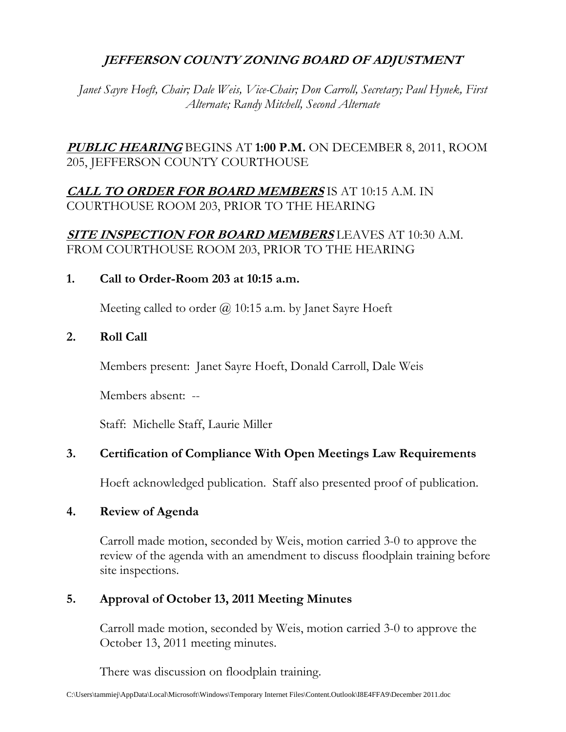# **JEFFERSON COUNTY ZONING BOARD OF ADJUSTMENT**

*Janet Sayre Hoeft, Chair; Dale Weis, Vice-Chair; Don Carroll, Secretary; Paul Hynek, First Alternate; Randy Mitchell, Second Alternate* 

# **PUBLIC HEARING** BEGINS AT **1:00 P.M.** ON DECEMBER 8, 2011, ROOM 205, JEFFERSON COUNTY COURTHOUSE

**CALL TO ORDER FOR BOARD MEMBERS** IS AT 10:15 A.M. IN COURTHOUSE ROOM 203, PRIOR TO THE HEARING

## **SITE INSPECTION FOR BOARD MEMBERS** LEAVES AT 10:30 A.M. FROM COURTHOUSE ROOM 203, PRIOR TO THE HEARING

## **1. Call to Order-Room 203 at 10:15 a.m.**

Meeting called to order  $\omega$  10:15 a.m. by Janet Sayre Hoeft

## **2. Roll Call**

Members present: Janet Sayre Hoeft, Donald Carroll, Dale Weis

Members absent: --

Staff: Michelle Staff, Laurie Miller

# **3. Certification of Compliance With Open Meetings Law Requirements**

Hoeft acknowledged publication. Staff also presented proof of publication.

## **4. Review of Agenda**

 Carroll made motion, seconded by Weis, motion carried 3-0 to approve the review of the agenda with an amendment to discuss floodplain training before site inspections.

# **5. Approval of October 13, 2011 Meeting Minutes**

 Carroll made motion, seconded by Weis, motion carried 3-0 to approve the October 13, 2011 meeting minutes.

There was discussion on floodplain training.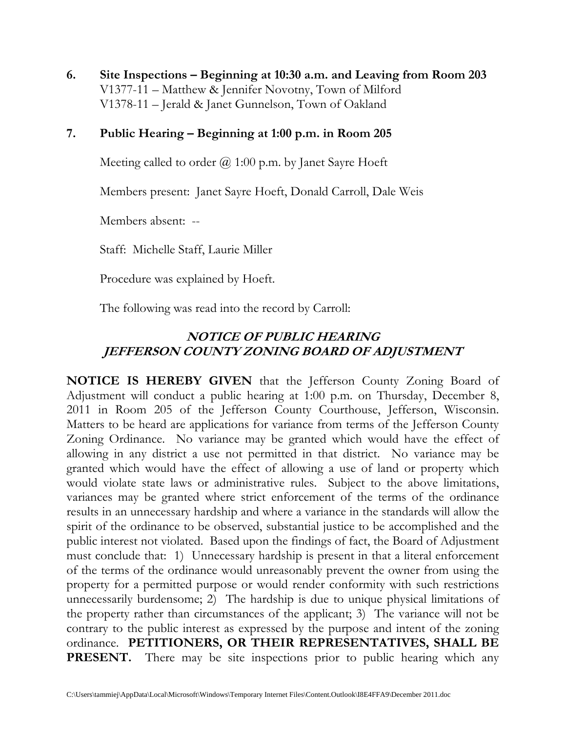**6. Site Inspections – Beginning at 10:30 a.m. and Leaving from Room 203**  V1377-11 – Matthew & Jennifer Novotny, Town of Milford V1378-11 – Jerald & Janet Gunnelson, Town of Oakland

## **7. Public Hearing – Beginning at 1:00 p.m. in Room 205**

Meeting called to order  $\omega$  1:00 p.m. by Janet Sayre Hoeft

Members present: Janet Sayre Hoeft, Donald Carroll, Dale Weis

Members absent: --

Staff: Michelle Staff, Laurie Miller

Procedure was explained by Hoeft.

The following was read into the record by Carroll:

# **NOTICE OF PUBLIC HEARING JEFFERSON COUNTY ZONING BOARD OF ADJUSTMENT**

**NOTICE IS HEREBY GIVEN** that the Jefferson County Zoning Board of Adjustment will conduct a public hearing at 1:00 p.m. on Thursday, December 8, 2011 in Room 205 of the Jefferson County Courthouse, Jefferson, Wisconsin. Matters to be heard are applications for variance from terms of the Jefferson County Zoning Ordinance. No variance may be granted which would have the effect of allowing in any district a use not permitted in that district. No variance may be granted which would have the effect of allowing a use of land or property which would violate state laws or administrative rules. Subject to the above limitations, variances may be granted where strict enforcement of the terms of the ordinance results in an unnecessary hardship and where a variance in the standards will allow the spirit of the ordinance to be observed, substantial justice to be accomplished and the public interest not violated. Based upon the findings of fact, the Board of Adjustment must conclude that: 1) Unnecessary hardship is present in that a literal enforcement of the terms of the ordinance would unreasonably prevent the owner from using the property for a permitted purpose or would render conformity with such restrictions unnecessarily burdensome; 2) The hardship is due to unique physical limitations of the property rather than circumstances of the applicant; 3) The variance will not be contrary to the public interest as expressed by the purpose and intent of the zoning ordinance. **PETITIONERS, OR THEIR REPRESENTATIVES, SHALL BE PRESENT.** There may be site inspections prior to public hearing which any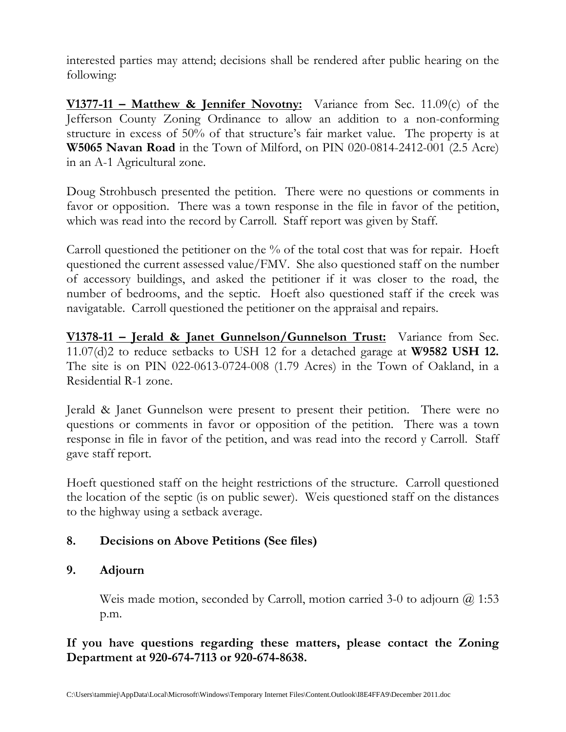interested parties may attend; decisions shall be rendered after public hearing on the following:

**V1377-11 – Matthew & Jennifer Novotny:** Variance from Sec. 11.09(c) of the Jefferson County Zoning Ordinance to allow an addition to a non-conforming structure in excess of 50% of that structure's fair market value. The property is at **W5065 Navan Road** in the Town of Milford, on PIN 020-0814-2412-001 (2.5 Acre) in an A-1 Agricultural zone.

Doug Strohbusch presented the petition. There were no questions or comments in favor or opposition. There was a town response in the file in favor of the petition, which was read into the record by Carroll. Staff report was given by Staff.

Carroll questioned the petitioner on the % of the total cost that was for repair. Hoeft questioned the current assessed value/FMV. She also questioned staff on the number of accessory buildings, and asked the petitioner if it was closer to the road, the number of bedrooms, and the septic. Hoeft also questioned staff if the creek was navigatable. Carroll questioned the petitioner on the appraisal and repairs.

**V1378-11 – Jerald & Janet Gunnelson/Gunnelson Trust:** Variance from Sec. 11.07(d)2 to reduce setbacks to USH 12 for a detached garage at **W9582 USH 12.** The site is on PIN 022-0613-0724-008 (1.79 Acres) in the Town of Oakland, in a Residential R-1 zone.

Jerald & Janet Gunnelson were present to present their petition. There were no questions or comments in favor or opposition of the petition. There was a town response in file in favor of the petition, and was read into the record y Carroll. Staff gave staff report.

Hoeft questioned staff on the height restrictions of the structure. Carroll questioned the location of the septic (is on public sewer). Weis questioned staff on the distances to the highway using a setback average.

# **8. Decisions on Above Petitions (See files)**

## **9. Adjourn**

Weis made motion, seconded by Carroll, motion carried 3-0 to adjourn  $\omega$  1:53 p.m.

## **If you have questions regarding these matters, please contact the Zoning Department at 920-674-7113 or 920-674-8638.**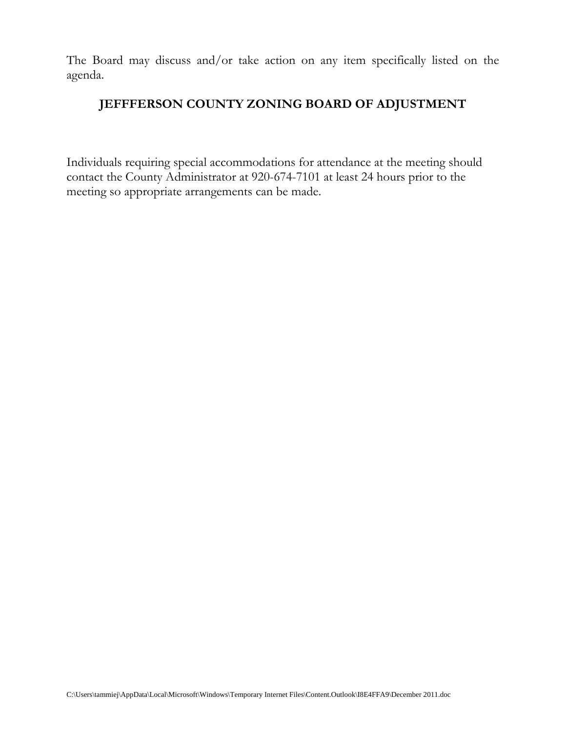The Board may discuss and/or take action on any item specifically listed on the agenda.

## **JEFFFERSON COUNTY ZONING BOARD OF ADJUSTMENT**

Individuals requiring special accommodations for attendance at the meeting should contact the County Administrator at 920-674-7101 at least 24 hours prior to the meeting so appropriate arrangements can be made.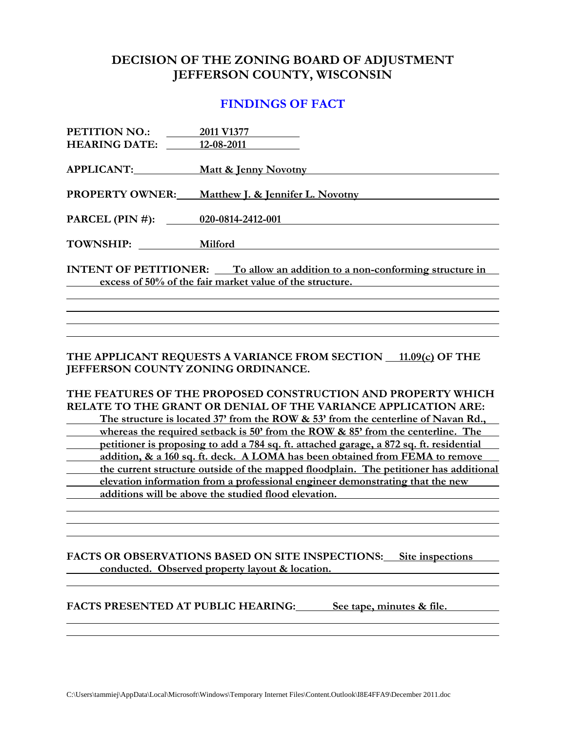### **DECISION OF THE ZONING BOARD OF ADJUSTMENT JEFFERSON COUNTY, WISCONSIN**

#### **FINDINGS OF FACT**

| PETITION NO.:                                                                      | 2011 V1377                                               |
|------------------------------------------------------------------------------------|----------------------------------------------------------|
| <b>HEARING DATE:</b>                                                               | 12-08-2011                                               |
| APPLICANT:                                                                         | <u>Matt &amp; Jenny Novotny Matt &amp; Jenny Novotny</u> |
| <b>PROPERTY OWNER:</b>                                                             | Matthew J. & Jennifer L. Novotny                         |
| PARCEL (PIN #): 020-0814-2412-001                                                  |                                                          |
|                                                                                    |                                                          |
| TOWNSHIP: Milford                                                                  |                                                          |
| <b>INTENT OF PETITIONER:</b> To allow an addition to a non-conforming structure in |                                                          |
| excess of 50% of the fair market value of the structure.                           |                                                          |
|                                                                                    |                                                          |

**THE APPLICANT REQUESTS A VARIANCE FROM SECTION 11.09(c) OF THE JEFFERSON COUNTY ZONING ORDINANCE.** 

**THE FEATURES OF THE PROPOSED CONSTRUCTION AND PROPERTY WHICH RELATE TO THE GRANT OR DENIAL OF THE VARIANCE APPLICATION ARE: The structure is located 37' from the ROW & 53' from the centerline of Navan Rd.,**  *<u>whereas the required setback is 50' from the ROW & 85' from the centerline. The*</u>  **petitioner is proposing to add a 784 sq. ft. attached garage, a 872 sq. ft. residential addition, & a 160 sq. ft. deck. A LOMA has been obtained from FEMA to remove the current structure outside of the mapped floodplain. The petitioner has additional**  *<u>elevation information from a professional engineer demonstrating that the new*</u>  **additions will be above the studied flood elevation.** 

**FACTS OR OBSERVATIONS BASED ON SITE INSPECTIONS: Site inspections**  *conducted.* **Observed property layout & location. <b>***conducted.* Observed property layout & location.

**FACTS PRESENTED AT PUBLIC HEARING: See tape, minutes & file.**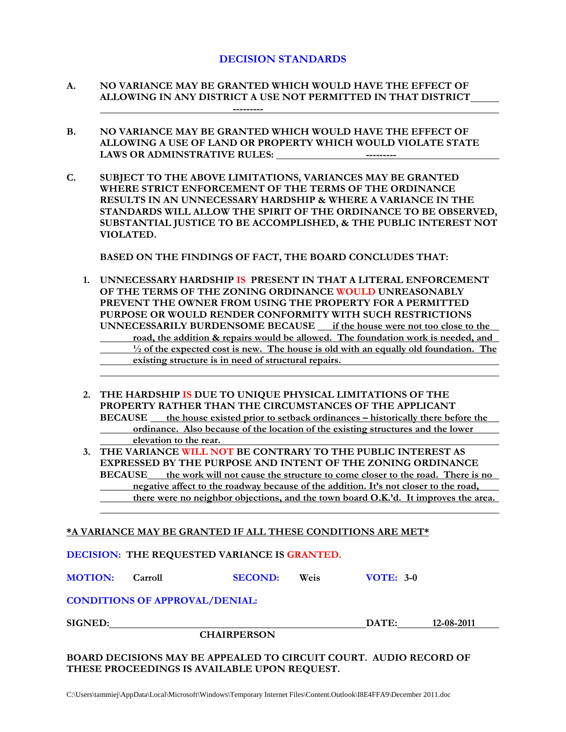#### **DECISION STANDARDS**

- **A. NO VARIANCE MAY BE GRANTED WHICH WOULD HAVE THE EFFECT OF ALLOWING IN ANY DISTRICT A USE NOT PERMITTED IN THAT DISTRICT ---------**
- **B. NO VARIANCE MAY BE GRANTED WHICH WOULD HAVE THE EFFECT OF ALLOWING A USE OF LAND OR PROPERTY WHICH WOULD VIOLATE STATE**  LAWS OR ADMINSTRATIVE RULES: **---------**
- **C. SUBJECT TO THE ABOVE LIMITATIONS, VARIANCES MAY BE GRANTED WHERE STRICT ENFORCEMENT OF THE TERMS OF THE ORDINANCE RESULTS IN AN UNNECESSARY HARDSHIP & WHERE A VARIANCE IN THE STANDARDS WILL ALLOW THE SPIRIT OF THE ORDINANCE TO BE OBSERVED, SUBSTANTIAL JUSTICE TO BE ACCOMPLISHED, & THE PUBLIC INTEREST NOT VIOLATED.**

 **BASED ON THE FINDINGS OF FACT, THE BOARD CONCLUDES THAT:** 

- **1. UNNECESSARY HARDSHIP IS PRESENT IN THAT A LITERAL ENFORCEMENT OF THE TERMS OF THE ZONING ORDINANCE WOULD UNREASONABLY PREVENT THE OWNER FROM USING THE PROPERTY FOR A PERMITTED PURPOSE OR WOULD RENDER CONFORMITY WITH SUCH RESTRICTIONS UNNECESSARILY BURDENSOME BECAUSE if the house were not too close to the road, the addition & repairs would be allowed. The foundation work is needed, and ½ of the expected cost is new. The house is old with an equally old foundation. The existing structure is in need of structural repairs.**
- **2. THE HARDSHIP IS DUE TO UNIQUE PHYSICAL LIMITATIONS OF THE PROPERTY RATHER THAN THE CIRCUMSTANCES OF THE APPLICANT BECAUSE the house existed prior to setback ordinances – historically there before the ordinance. Also because of the location of the existing structures and the lower elevation to the rear.**
- **3. THE VARIANCE WILL NOT BE CONTRARY TO THE PUBLIC INTEREST AS EXPRESSED BY THE PURPOSE AND INTENT OF THE ZONING ORDINANCE BECAUSE the work will not cause the structure to come closer to the road. There is no negative affect to the roadway because of the addition. It's not closer to the road, there were no neighbor objections, and the town board O.K.'d. It improves the area.**

#### **\*A VARIANCE MAY BE GRANTED IF ALL THESE CONDITIONS ARE MET\***

**DECISION: THE REQUESTED VARIANCE IS GRANTED.** 

**MOTION: Carroll SECOND: Weis VOTE: 3-0**

#### **CONDITIONS OF APPROVAL/DENIAL:**

**SIGNED: DATE: 12-08-2011** 

 **CHAIRPERSON** 

**BOARD DECISIONS MAY BE APPEALED TO CIRCUIT COURT. AUDIO RECORD OF THESE PROCEEDINGS IS AVAILABLE UPON REQUEST.**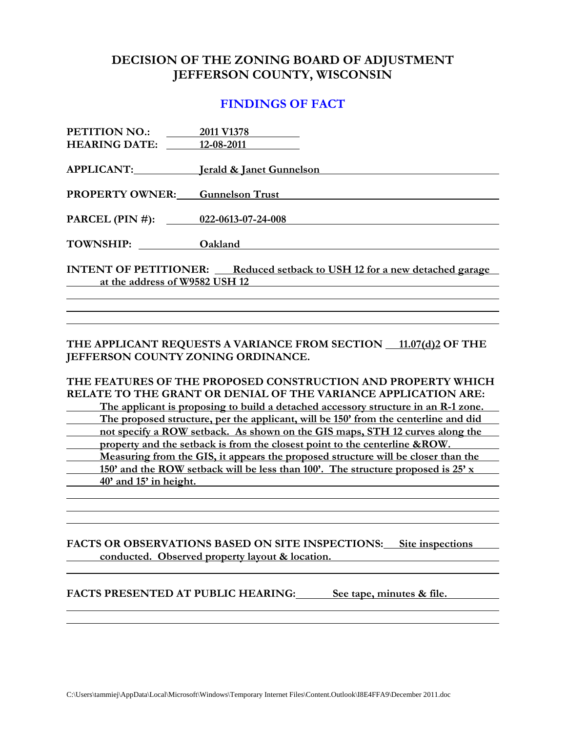### **DECISION OF THE ZONING BOARD OF ADJUSTMENT JEFFERSON COUNTY, WISCONSIN**

#### **FINDINGS OF FACT**

| PETITION NO.:                                                                    | 2011 V1378                                   |
|----------------------------------------------------------------------------------|----------------------------------------------|
| <b>HEARING DATE:</b> 12-08-2011                                                  |                                              |
|                                                                                  | APPLICANT: <b>Initial State of Gunnelson</b> |
| <b>PROPERTY OWNER:</b> Gunnelson Trust                                           |                                              |
| PARCEL (PIN #): 022-0613-07-24-008                                               |                                              |
|                                                                                  |                                              |
| TOWNSHIP: Oakland                                                                |                                              |
| <b>INTENT OF PETITIONER:</b> Reduced setback to USH 12 for a new detached garage |                                              |
| at the address of W9582 USH 12                                                   |                                              |
|                                                                                  |                                              |

#### **THE APPLICANT REQUESTS A VARIANCE FROM SECTION 11.07(d)2 OF THE JEFFERSON COUNTY ZONING ORDINANCE.**

#### **THE FEATURES OF THE PROPOSED CONSTRUCTION AND PROPERTY WHICH RELATE TO THE GRANT OR DENIAL OF THE VARIANCE APPLICATION ARE:**

 **The applicant is proposing to build a detached accessory structure in an R-1 zone. The proposed structure, per the applicant, will be 150' from the centerline and did not specify a ROW setback. As shown on the GIS maps, STH 12 curves along the property and the setback is from the closest point to the centerline &ROW. Measuring from the GIS, it appears the proposed structure will be closer than the 150' and the ROW setback will be less than 100'. The structure proposed is 25' x 40' and 15' in height.** 

#### FACTS OR OBSERVATIONS BASED ON SITE INSPECTIONS: Site inspections **<u>conducted. Observed property layout & location.</u>**  $\blacksquare$

FACTS PRESENTED AT PUBLIC HEARING: See tape, minutes & file.